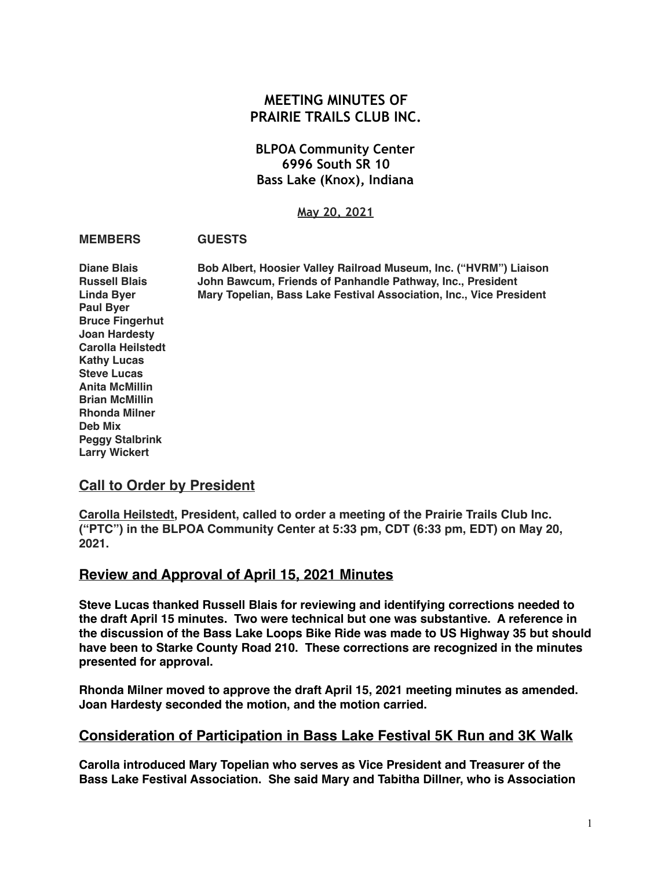## **MEETING MINUTES OF PRAIRIE TRAILS CLUB INC.**

#### **BLPOA Community Center 6996 South SR 10 Bass Lake (Knox), Indiana**

#### **May 20, 2021**

#### **MEMBERS GUESTS**

**Diane Blais Bob Albert, Hoosier Valley Railroad Museum, Inc. ("HVRM") Liaison Russell Blais John Bawcum, Friends of Panhandle Pathway, Inc., President Linda Byer Mary Topelian, Bass Lake Festival Association, Inc., Vice President Paul Byer Bruce Fingerhut Joan Hardesty Carolla Heilstedt Kathy Lucas Steve Lucas Anita McMillin Brian McMillin Rhonda Milner Deb Mix Peggy Stalbrink Larry Wickert**

#### **Call to Order by President**

**Carolla Heilstedt, President, called to order a meeting of the Prairie Trails Club Inc. ("PTC") in the BLPOA Community Center at 5:33 pm, CDT (6:33 pm, EDT) on May 20, 2021.** 

#### **Review and Approval of April 15, 2021 Minutes**

**Steve Lucas thanked Russell Blais for reviewing and identifying corrections needed to the draft April 15 minutes. Two were technical but one was substantive. A reference in the discussion of the Bass Lake Loops Bike Ride was made to US Highway 35 but should have been to Starke County Road 210. These corrections are recognized in the minutes presented for approval.**

**Rhonda Milner moved to approve the draft April 15, 2021 meeting minutes as amended. Joan Hardesty seconded the motion, and the motion carried.**

#### **Consideration of Participation in Bass Lake Festival 5K Run and 3K Walk**

**Carolla introduced Mary Topelian who serves as Vice President and Treasurer of the Bass Lake Festival Association. She said Mary and Tabitha Dillner, who is Association**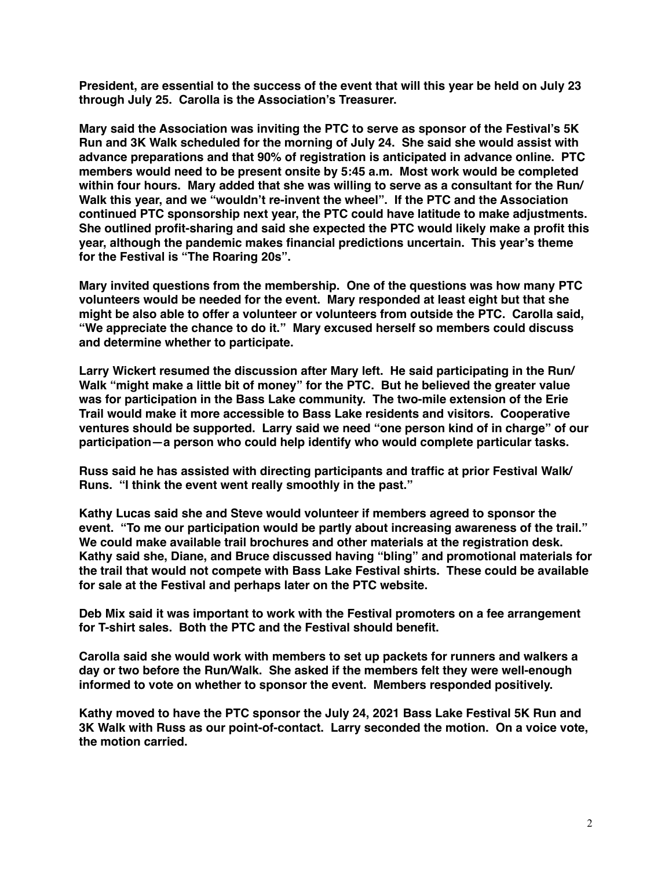**President, are essential to the success of the event that will this year be held on July 23 through July 25. Carolla is the Association's Treasurer.**

**Mary said the Association was inviting the PTC to serve as sponsor of the Festival's 5K Run and 3K Walk scheduled for the morning of July 24. She said she would assist with advance preparations and that 90% of registration is anticipated in advance online. PTC members would need to be present onsite by 5:45 a.m. Most work would be completed within four hours. Mary added that she was willing to serve as a consultant for the Run/ Walk this year, and we "wouldn't re-invent the wheel". If the PTC and the Association continued PTC sponsorship next year, the PTC could have latitude to make adjustments. She outlined profit-sharing and said she expected the PTC would likely make a profit this year, although the pandemic makes financial predictions uncertain. This year's theme for the Festival is "The Roaring 20s".**

**Mary invited questions from the membership. One of the questions was how many PTC volunteers would be needed for the event. Mary responded at least eight but that she might be also able to offer a volunteer or volunteers from outside the PTC. Carolla said, "We appreciate the chance to do it." Mary excused herself so members could discuss and determine whether to participate.**

**Larry Wickert resumed the discussion after Mary left. He said participating in the Run/ Walk "might make a little bit of money" for the PTC. But he believed the greater value was for participation in the Bass Lake community. The two-mile extension of the Erie Trail would make it more accessible to Bass Lake residents and visitors. Cooperative ventures should be supported. Larry said we need "one person kind of in charge" of our participation—a person who could help identify who would complete particular tasks.**

**Russ said he has assisted with directing participants and traffic at prior Festival Walk/ Runs. "I think the event went really smoothly in the past."**

**Kathy Lucas said she and Steve would volunteer if members agreed to sponsor the event. "To me our participation would be partly about increasing awareness of the trail." We could make available trail brochures and other materials at the registration desk. Kathy said she, Diane, and Bruce discussed having "bling" and promotional materials for the trail that would not compete with Bass Lake Festival shirts. These could be available for sale at the Festival and perhaps later on the PTC website.**

**Deb Mix said it was important to work with the Festival promoters on a fee arrangement for T-shirt sales. Both the PTC and the Festival should benefit.**

**Carolla said she would work with members to set up packets for runners and walkers a day or two before the Run/Walk. She asked if the members felt they were well-enough informed to vote on whether to sponsor the event. Members responded positively.**

**Kathy moved to have the PTC sponsor the July 24, 2021 Bass Lake Festival 5K Run and 3K Walk with Russ as our point-of-contact. Larry seconded the motion. On a voice vote, the motion carried.**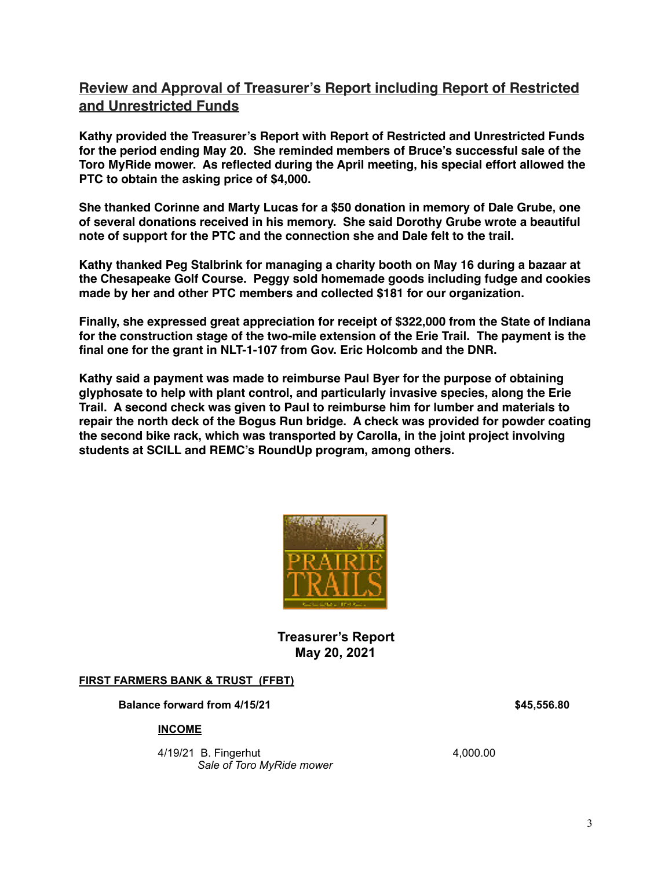# **Review and Approval of Treasurer's Report including Report of Restricted and Unrestricted Funds**

**Kathy provided the Treasurer's Report with Report of Restricted and Unrestricted Funds for the period ending May 20. She reminded members of Bruce's successful sale of the Toro MyRide mower. As reflected during the April meeting, his special effort allowed the PTC to obtain the asking price of \$4,000.** 

**She thanked Corinne and Marty Lucas for a \$50 donation in memory of Dale Grube, one of several donations received in his memory. She said Dorothy Grube wrote a beautiful note of support for the PTC and the connection she and Dale felt to the trail.** 

**Kathy thanked Peg Stalbrink for managing a charity booth on May 16 during a bazaar at the Chesapeake Golf Course. Peggy sold homemade goods including fudge and cookies made by her and other PTC members and collected \$181 for our organization.**

**Finally, she expressed great appreciation for receipt of \$322,000 from the State of Indiana for the construction stage of the two-mile extension of the Erie Trail. The payment is the final one for the grant in NLT-1-107 from Gov. Eric Holcomb and the DNR.**

**Kathy said a payment was made to reimburse Paul Byer for the purpose of obtaining glyphosate to help with plant control, and particularly invasive species, along the Erie Trail. A second check was given to Paul to reimburse him for lumber and materials to repair the north deck of the Bogus Run bridge. A check was provided for powder coating the second bike rack, which was transported by Carolla, in the joint project involving students at SCILL and REMC's RoundUp program, among others.** 



**Treasurer's Report May 20, 2021** 

#### **FIRST FARMERS BANK & TRUST (FFBT)**

**Balance forward from 4/15/21 \$45,556.80 \$45,556.80** 

#### **INCOME**

**4/19/21 B. Fingerhut 4.000.00**  *Sale of Toro MyRide mower*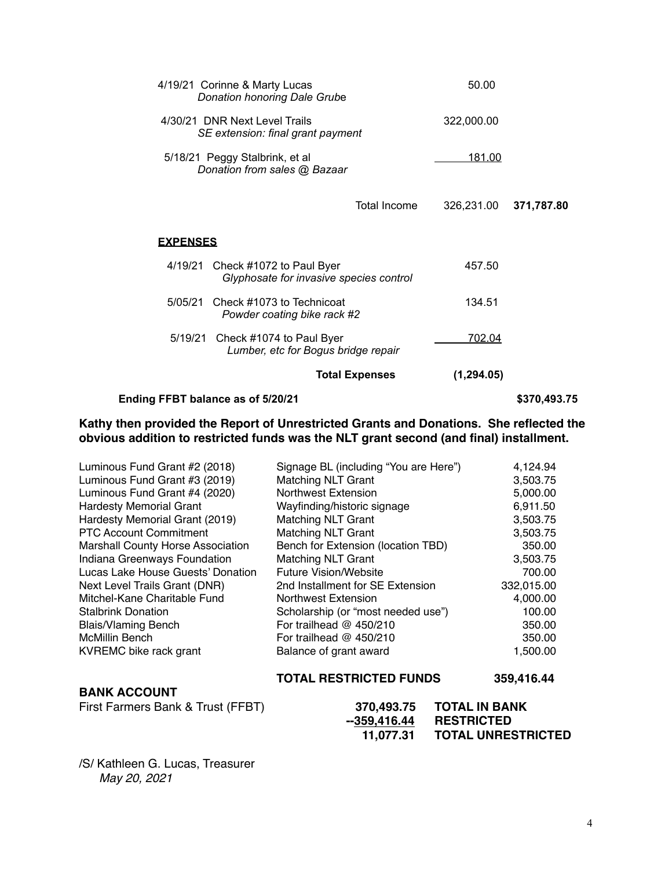| Ending FFBT balance as of 5/20/21                                              |                                     |                | \$370,493.75 |  |
|--------------------------------------------------------------------------------|-------------------------------------|----------------|--------------|--|
|                                                                                | <b>Total Expenses</b>               | (1, 294.05)    |              |  |
| Check #1074 to Paul Byer<br>5/19/21<br>Lumber, etc for Bogus bridge repair     |                                     | 702.04         |              |  |
| Check #1073 to Technicoat<br>5/05/21<br>Powder coating bike rack #2            |                                     | 134.51         |              |  |
| 4/19/21<br>Check #1072 to Paul Byer<br>Glyphosate for invasive species control |                                     | 457.50         |              |  |
| <b>EXPENSES</b>                                                                |                                     |                |              |  |
|                                                                                | Total Income                        | 326,231.00     | 371,787.80   |  |
| 5/18/21 Peggy Stalbrink, et al<br>Donation from sales @ Bazaar                 |                                     | <u> 181.00</u> |              |  |
| 4/30/21 DNR Next Level Trails<br>SE extension: final grant payment             |                                     | 322,000.00     |              |  |
| 4/19/21 Corinne & Marty Lucas                                                  | <b>Donation honoring Dale Grube</b> |                |              |  |

# **Kathy then provided the Report of Unrestricted Grants and Donations. She reflected the**

**obvious addition to restricted funds was the NLT grant second (and final) installment.**

| First Farmers Bank & Trust (FFBT)        | 370,493.75<br>$-359,416.44$<br>11,077.31 | <b>TOTAL IN BANK</b><br><b>RESTRICTED</b><br><b>TOTAL UNRESTRICTED</b> |
|------------------------------------------|------------------------------------------|------------------------------------------------------------------------|
| <b>BANK ACCOUNT</b>                      | <b>TOTAL RESTRICTED FUNDS</b>            | 359,416.44                                                             |
| KVREMC bike rack grant                   | Balance of grant award                   | 1,500.00                                                               |
| <b>McMillin Bench</b>                    | For trailhead $@$ 450/210                | 350.00                                                                 |
| <b>Blais/Vlaming Bench</b>               | For trailhead $@$ 450/210                | 350.00                                                                 |
| <b>Stalbrink Donation</b>                | Scholarship (or "most needed use")       | 100.00                                                                 |
| Mitchel-Kane Charitable Fund             | Northwest Extension                      | 4,000.00                                                               |
| Next Level Trails Grant (DNR)            | 2nd Installment for SE Extension         | 332,015.00                                                             |
| Lucas Lake House Guests' Donation        | <b>Future Vision/Website</b>             | 700.00                                                                 |
| Indiana Greenways Foundation             | Matching NLT Grant                       | 3,503.75                                                               |
| <b>Marshall County Horse Association</b> | Bench for Extension (location TBD)       | 350.00                                                                 |
| <b>PTC Account Commitment</b>            | <b>Matching NLT Grant</b>                | 3,503.75                                                               |
| Hardesty Memorial Grant (2019)           | <b>Matching NLT Grant</b>                | 3,503.75                                                               |
| <b>Hardesty Memorial Grant</b>           | Wayfinding/historic signage              | 6,911.50                                                               |
| Luminous Fund Grant #4 (2020)            | <b>Northwest Extension</b>               | 5,000.00                                                               |
| Luminous Fund Grant #3 (2019)            | <b>Matching NLT Grant</b>                | 3,503.75                                                               |
| Luminous Fund Grant #2 (2018)            | Signage BL (including "You are Here")    | 4,124.94                                                               |

/S/ Kathleen G. Lucas, Treasurer *May 20, 2021*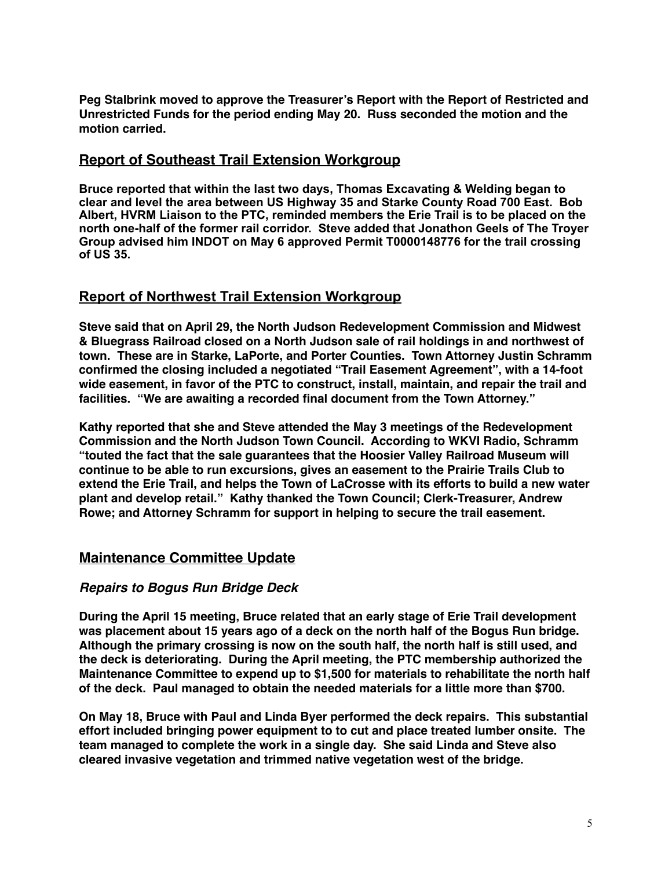**Peg Stalbrink moved to approve the Treasurer's Report with the Report of Restricted and Unrestricted Funds for the period ending May 20. Russ seconded the motion and the motion carried.**

#### **Report of Southeast Trail Extension Workgroup**

**Bruce reported that within the last two days, Thomas Excavating & Welding began to clear and level the area between US Highway 35 and Starke County Road 700 East. Bob Albert, HVRM Liaison to the PTC, reminded members the Erie Trail is to be placed on the north one-half of the former rail corridor. Steve added that Jonathon Geels of The Troyer Group advised him INDOT on May 6 approved Permit T0000148776 for the trail crossing of US 35.** 

## **Report of Northwest Trail Extension Workgroup**

**Steve said that on April 29, the North Judson Redevelopment Commission and Midwest & Bluegrass Railroad closed on a North Judson sale of rail holdings in and northwest of town. These are in Starke, LaPorte, and Porter Counties. Town Attorney Justin Schramm confirmed the closing included a negotiated "Trail Easement Agreement", with a 14-foot wide easement, in favor of the PTC to construct, install, maintain, and repair the trail and facilities. "We are awaiting a recorded final document from the Town Attorney."**

**Kathy reported that she and Steve attended the May 3 meetings of the Redevelopment Commission and the North Judson Town Council. According to WKVI Radio, Schramm "touted the fact that the sale guarantees that the Hoosier Valley Railroad Museum will continue to be able to run excursions, gives an easement to the Prairie Trails Club to extend the Erie Trail, and helps the Town of LaCrosse with its efforts to build a new water plant and develop retail." Kathy thanked the Town Council; Clerk-Treasurer, Andrew Rowe; and Attorney Schramm for support in helping to secure the trail easement.**

## **Maintenance Committee Update**

#### *Repairs to Bogus Run Bridge Deck*

**During the April 15 meeting, Bruce related that an early stage of Erie Trail development was placement about 15 years ago of a deck on the north half of the Bogus Run bridge. Although the primary crossing is now on the south half, the north half is still used, and the deck is deteriorating. During the April meeting, the PTC membership authorized the Maintenance Committee to expend up to \$1,500 for materials to rehabilitate the north half of the deck. Paul managed to obtain the needed materials for a little more than \$700.**

**On May 18, Bruce with Paul and Linda Byer performed the deck repairs. This substantial effort included bringing power equipment to to cut and place treated lumber onsite. The team managed to complete the work in a single day. She said Linda and Steve also cleared invasive vegetation and trimmed native vegetation west of the bridge.**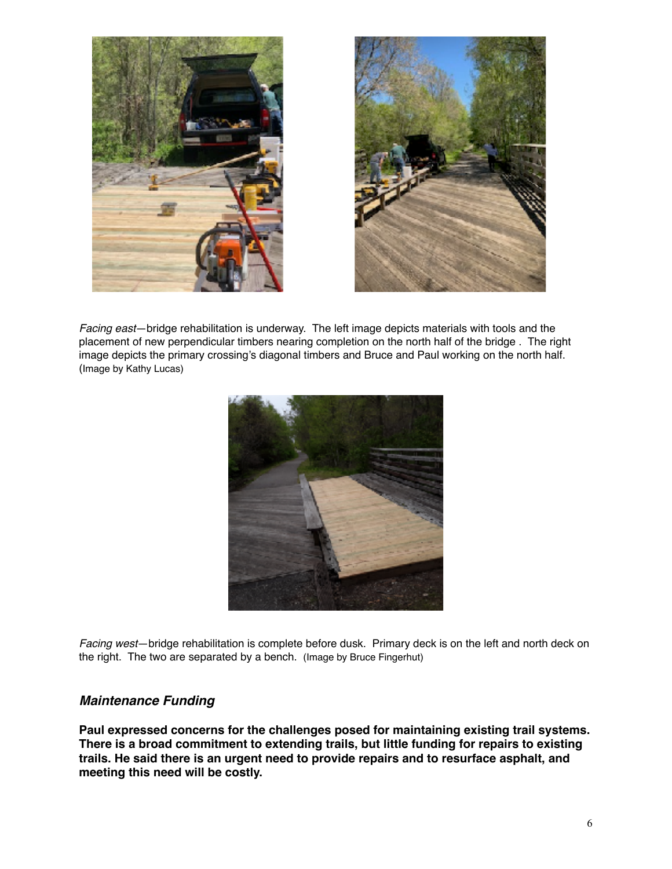



*Facing east*—bridge rehabilitation is underway. The left image depicts materials with tools and the placement of new perpendicular timbers nearing completion on the north half of the bridge . The right image depicts the primary crossing's diagonal timbers and Bruce and Paul working on the north half. (Image by Kathy Lucas)



*Facing west*—bridge rehabilitation is complete before dusk. Primary deck is on the left and north deck on the right. The two are separated by a bench. (Image by Bruce Fingerhut)

#### *Maintenance Funding*

**Paul expressed concerns for the challenges posed for maintaining existing trail systems. There is a broad commitment to extending trails, but little funding for repairs to existing trails. He said there is an urgent need to provide repairs and to resurface asphalt, and meeting this need will be costly.**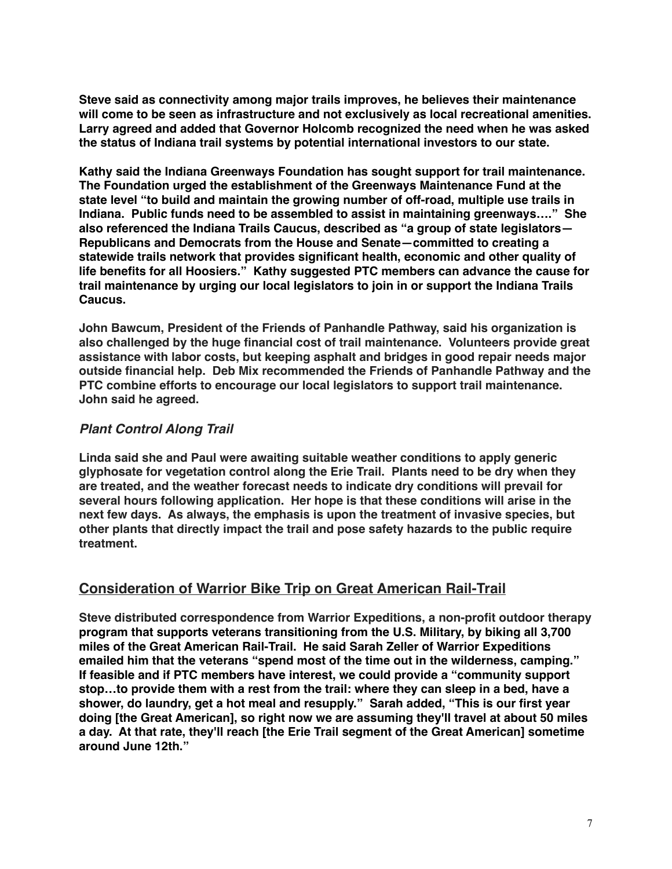**Steve said as connectivity among major trails improves, he believes their maintenance will come to be seen as infrastructure and not exclusively as local recreational amenities. Larry agreed and added that Governor Holcomb recognized the need when he was asked the status of Indiana trail systems by potential international investors to our state.**

**Kathy said the Indiana Greenways Foundation has sought support for trail maintenance. The Foundation urged the establishment of the Greenways Maintenance Fund at the state level "to build and maintain the growing number of off-road, multiple use trails in Indiana. Public funds need to be assembled to assist in maintaining greenways…." She also referenced the Indiana Trails Caucus, described as "a group of state legislators— Republicans and Democrats from the House and Senate—committed to creating a statewide trails network that provides significant health, economic and other quality of life benefits for all Hoosiers." Kathy suggested PTC members can advance the cause for trail maintenance by urging our local legislators to join in or support the Indiana Trails Caucus.**

**John Bawcum, President of the Friends of Panhandle Pathway, said his organization is also challenged by the huge financial cost of trail maintenance. Volunteers provide great assistance with labor costs, but keeping asphalt and bridges in good repair needs major outside financial help. Deb Mix recommended the Friends of Panhandle Pathway and the PTC combine efforts to encourage our local legislators to support trail maintenance. John said he agreed.**

#### *Plant Control Along Trail*

**Linda said she and Paul were awaiting suitable weather conditions to apply generic glyphosate for vegetation control along the Erie Trail. Plants need to be dry when they are treated, and the weather forecast needs to indicate dry conditions will prevail for several hours following application. Her hope is that these conditions will arise in the next few days. As always, the emphasis is upon the treatment of invasive species, but other plants that directly impact the trail and pose safety hazards to the public require treatment.**

# **Consideration of Warrior Bike Trip on Great American Rail-Trail**

**Steve distributed correspondence from Warrior Expeditions, a non-profit outdoor therapy program that supports veterans transitioning from the U.S. Military, by biking all 3,700 miles of the Great American Rail-Trail. He said Sarah Zeller of Warrior Expeditions emailed him that the veterans "spend most of the time out in the wilderness, camping." If feasible and if PTC members have interest, we could provide a "community support stop…to provide them with a rest from the trail: where they can sleep in a bed, have a shower, do laundry, get a hot meal and resupply." Sarah added, "This is our first year doing [the Great American], so right now we are assuming they'll travel at about 50 miles a day. At that rate, they'll reach [the Erie Trail segment of the Great American] sometime around June 12th."**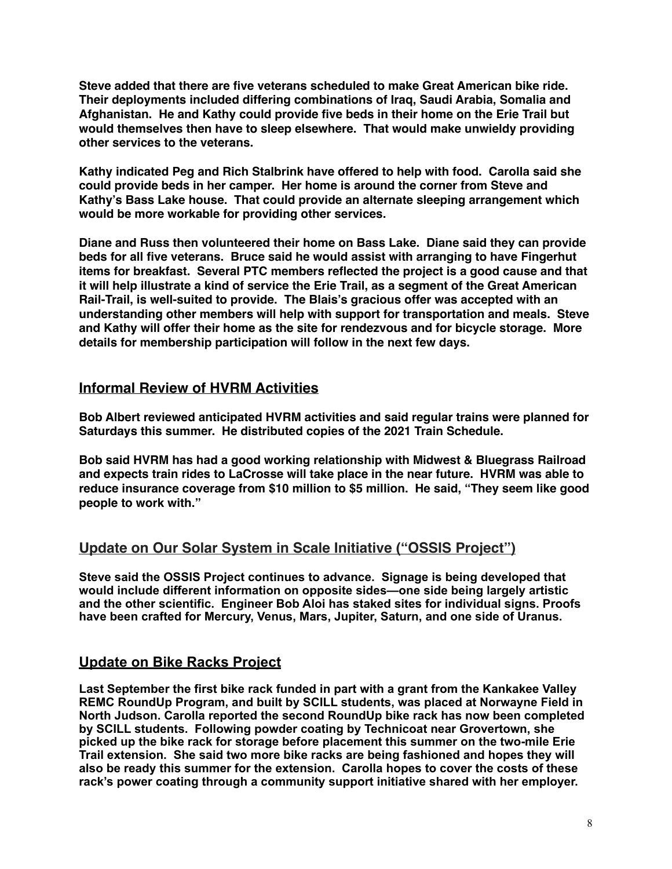**Steve added that there are five veterans scheduled to make Great American bike ride. Their deployments included differing combinations of Iraq, Saudi Arabia, Somalia and Afghanistan. He and Kathy could provide five beds in their home on the Erie Trail but would themselves then have to sleep elsewhere. That would make unwieldy providing other services to the veterans.** 

**Kathy indicated Peg and Rich Stalbrink have offered to help with food. Carolla said she could provide beds in her camper. Her home is around the corner from Steve and Kathy's Bass Lake house. That could provide an alternate sleeping arrangement which would be more workable for providing other services.**

**Diane and Russ then volunteered their home on Bass Lake. Diane said they can provide beds for all five veterans. Bruce said he would assist with arranging to have Fingerhut items for breakfast. Several PTC members reflected the project is a good cause and that it will help illustrate a kind of service the Erie Trail, as a segment of the Great American Rail-Trail, is well-suited to provide. The Blais's gracious offer was accepted with an understanding other members will help with support for transportation and meals. Steve and Kathy will offer their home as the site for rendezvous and for bicycle storage. More details for membership participation will follow in the next few days.**

## **Informal Review of HVRM Activities**

**Bob Albert reviewed anticipated HVRM activities and said regular trains were planned for Saturdays this summer. He distributed copies of the 2021 Train Schedule.**

**Bob said HVRM has had a good working relationship with Midwest & Bluegrass Railroad and expects train rides to LaCrosse will take place in the near future. HVRM was able to reduce insurance coverage from \$10 million to \$5 million. He said, "They seem like good people to work with."** 

# **Update on Our Solar System in Scale Initiative ("OSSIS Project")**

**Steve said the OSSIS Project continues to advance. Signage is being developed that would include different information on opposite sides—one side being largely artistic and the other scientific. Engineer Bob Aloi has staked sites for individual signs. Proofs have been crafted for Mercury, Venus, Mars, Jupiter, Saturn, and one side of Uranus.** 

## **Update on Bike Racks Project**

**Last September the first bike rack funded in part with a grant from the Kankakee Valley REMC RoundUp Program, and built by SCILL students, was placed at Norwayne Field in North Judson. Carolla reported the second RoundUp bike rack has now been completed by SCILL students. Following powder coating by Technicoat near Grovertown, she picked up the bike rack for storage before placement this summer on the two-mile Erie Trail extension. She said two more bike racks are being fashioned and hopes they will also be ready this summer for the extension. Carolla hopes to cover the costs of these rack's power coating through a community support initiative shared with her employer.**